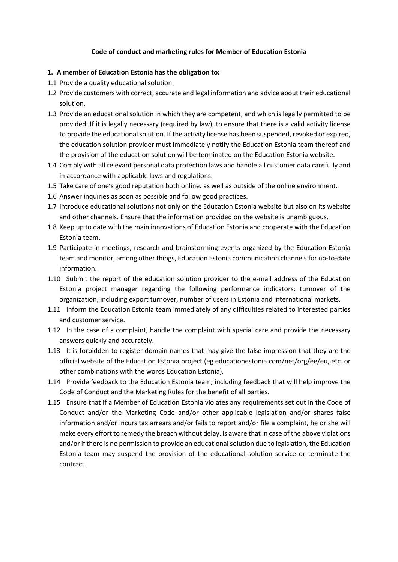## **Code of conduct and marketing rules for Member of Education Estonia**

## **1. A member of Education Estonia has the obligation to:**

- 1.1 Provide a quality educational solution.
- 1.2 Provide customers with correct, accurate and legal information and advice about their educational solution.
- 1.3 Provide an educational solution in which they are competent, and which is legally permitted to be provided. If it is legally necessary (required by law), to ensure that there is a valid activity license to provide the educational solution. If the activity license has been suspended, revoked or expired, the education solution provider must immediately notify the Education Estonia team thereof and the provision of the education solution will be terminated on the Education Estonia website.
- 1.4 Comply with all relevant personal data protection laws and handle all customer data carefully and in accordance with applicable laws and regulations.
- 1.5 Take care of one's good reputation both online*,* as well as outside of the online environment.
- 1.6 Answer inquiries as soon as possible and follow good practices.
- 1.7 Introduce educational solutions not only on the Education Estonia website but also on its website and other channels. Ensure that the information provided on the website is unambiguous.
- 1.8 Keep up to date with the main innovations of Education Estonia and cooperate with the Education Estonia team.
- 1.9 Participate in meetings, research and brainstorming events organized by the Education Estonia team and monitor, among other things, Education Estonia communication channels for up-to-date information.
- 1.10 Submit the report of the education solution provider to the e-mail address of the Education Estonia project manager regarding the following performance indicators: turnover of the organization, including export turnover, number of users in Estonia and international markets.
- 1.11 Inform the Education Estonia team immediately of any difficulties related to interested parties and customer service.
- 1.12 In the case of a complaint, handle the complaint with special care and provide the necessary answers quickly and accurately.
- 1.13 It is forbidden to register domain names that may give the false impression that they are the official website of the Education Estonia project (eg educationestonia.com/net/org/ee/eu, etc. or other combinations with the words Education Estonia).
- 1.14 Provide feedback to the Education Estonia team, including feedback that will help improve the Code of Conduct and the Marketing Rules for the benefit of all parties.
- 1.15 Ensure that if a Member of Education Estonia violates any requirements set out in the Code of Conduct and/or the Marketing Code and/or other applicable legislation and/or shares false information and/or incurs tax arrears and/or fails to report and/or file a complaint, he or she will make every effort to remedy the breach without delay. Is aware that in case of the above violations and/or if there is no permission to provide an educational solution due to legislation, the Education Estonia team may suspend the provision of the educational solution service or terminate the contract.